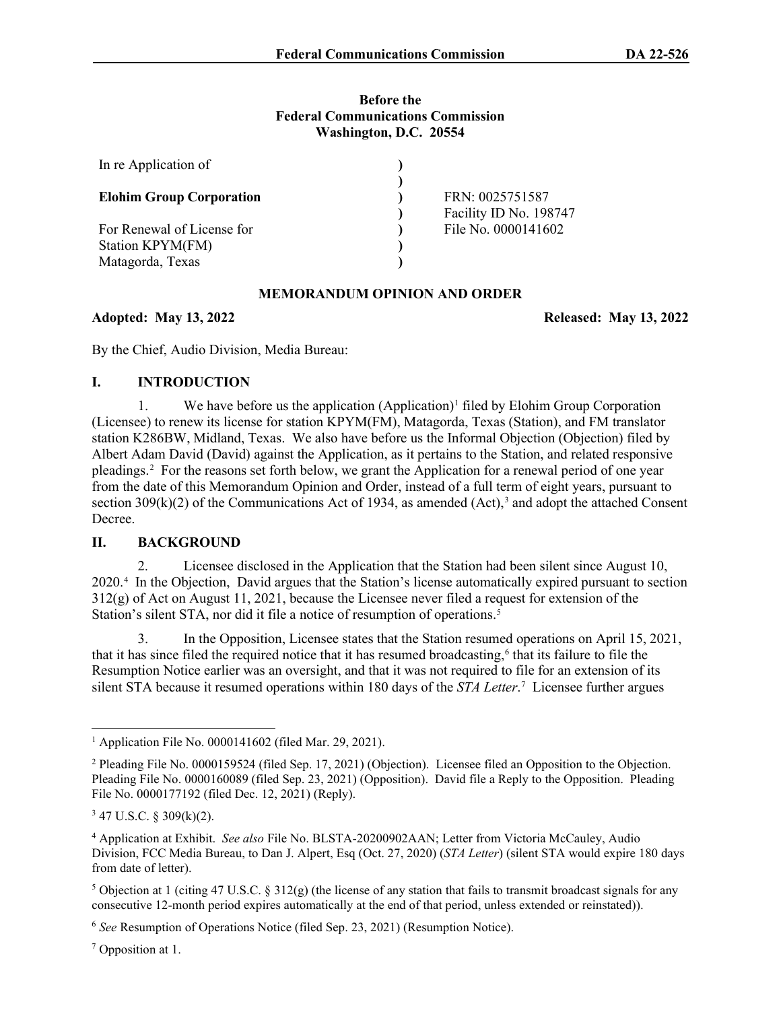#### **Before the Federal Communications Commission Washington, D.C. 20554**

| In re Application of                 |                                           |
|--------------------------------------|-------------------------------------------|
| <b>Elohim Group Corporation</b>      | FRN: 0025751587<br>Facility ID No. 198747 |
| For Renewal of License for           | File No. 0000141602                       |
| Station KPYM(FM)<br>Matagorda, Texas |                                           |
|                                      |                                           |

#### **MEMORANDUM OPINION AND ORDER**

**Adopted: May 13, 2022 Released: May 13, 2022**

By the Chief, Audio Division, Media Bureau:

# **I. INTRODUCTION**

[1](#page-0-0). We have before us the application  $(Application)^1$  filed by Elohim Group Corporation (Licensee) to renew its license for station KPYM(FM), Matagorda, Texas (Station), and FM translator station K286BW, Midland, Texas. We also have before us the Informal Objection (Objection) filed by Albert Adam David (David) against the Application, as it pertains to the Station, and related responsive pleadings.[2](#page-0-1) For the reasons set forth below, we grant the Application for a renewal period of one year from the date of this Memorandum Opinion and Order, instead of a full term of eight years, pursuant to section  $309(k)(2)$  $309(k)(2)$  of the Communications Act of 1934, as amended (Act),<sup>3</sup> and adopt the attached Consent Decree.

# **II. BACKGROUND**

2. Licensee disclosed in the Application that the Station had been silent since August 10, 2020.[4](#page-0-3) In the Objection, David argues that the Station's license automatically expired pursuant to section 312(g) of Act on August 11, 2021, because the Licensee never filed a request for extension of the Station's silent STA, nor did it file a notice of resumption of operations.<sup>[5](#page-0-4)</sup>

3. In the Opposition, Licensee states that the Station resumed operations on April 15, 2021, that it has since filed the required notice that it has resumed broadcasting, [6](#page-0-5) that its failure to file the Resumption Notice earlier was an oversight, and that it was not required to file for an extension of its silent STA because it resumed operations within 180 days of the *STA Letter*. [7](#page-0-6) Licensee further argues

<span id="page-0-0"></span><sup>&</sup>lt;sup>1</sup> Application File No. 0000141602 (filed Mar. 29, 2021).

<span id="page-0-1"></span><sup>2</sup> Pleading File No. 0000159524 (filed Sep. 17, 2021) (Objection). Licensee filed an Opposition to the Objection. Pleading File No. 0000160089 (filed Sep. 23, 2021) (Opposition). David file a Reply to the Opposition. Pleading File No. 0000177192 (filed Dec. 12, 2021) (Reply).

<span id="page-0-2"></span> $3$  47 U.S.C. § 309(k)(2).

<span id="page-0-3"></span><sup>4</sup> Application at Exhibit. *See also* File No. BLSTA-20200902AAN; Letter from Victoria McCauley, Audio Division, FCC Media Bureau, to Dan J. Alpert, Esq (Oct. 27, 2020) (*STA Letter*) (silent STA would expire 180 days from date of letter).

<span id="page-0-4"></span><sup>&</sup>lt;sup>5</sup> Objection at 1 (citing 47 U.S.C. § 312(g) (the license of any station that fails to transmit broadcast signals for any consecutive 12-month period expires automatically at the end of that period, unless extended or reinstated)).

<span id="page-0-5"></span><sup>6</sup> *See* Resumption of Operations Notice (filed Sep. 23, 2021) (Resumption Notice).

<span id="page-0-6"></span><sup>7</sup> Opposition at 1.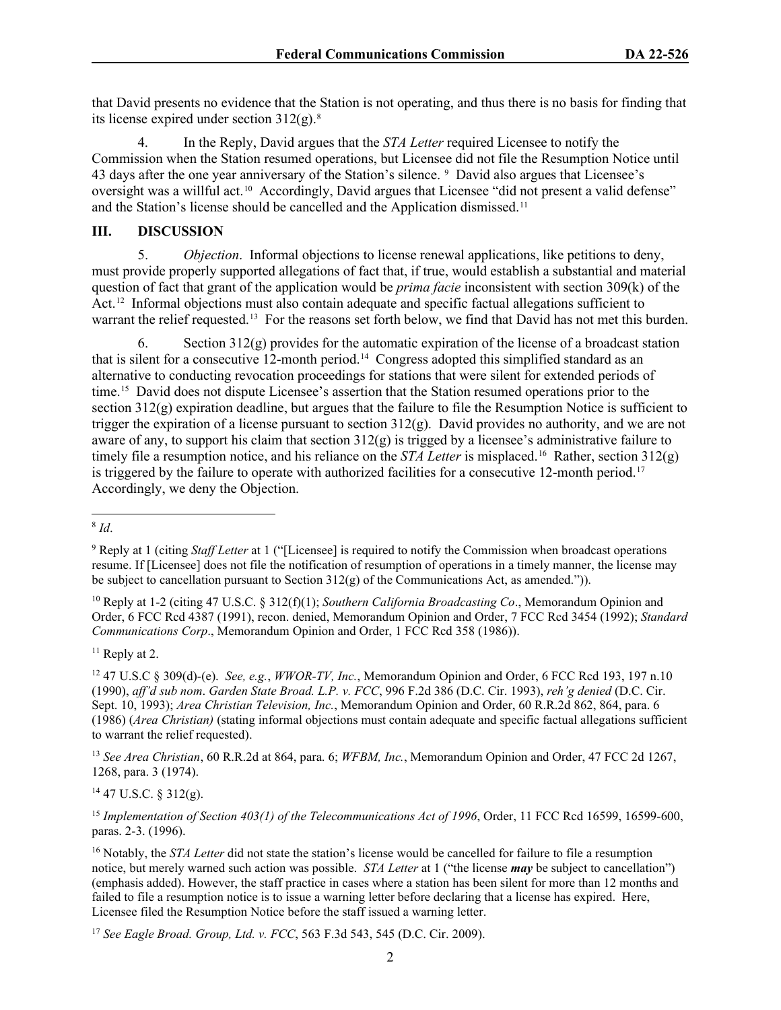that David presents no evidence that the Station is not operating, and thus there is no basis for finding that its license expired under section  $312(g)$ .<sup>[8](#page-1-0)</sup>

4. In the Reply, David argues that the *STA Letter* required Licensee to notify the Commission when the Station resumed operations, but Licensee did not file the Resumption Notice until 43 days after the one year anniversary of the Station's silence. <sup>[9](#page-1-1)</sup> David also argues that Licensee's oversight was a willful act.[10](#page-1-2) Accordingly, David argues that Licensee "did not present a valid defense" and the Station's license should be cancelled and the Application dismissed.<sup>[11](#page-1-3)</sup>

#### **III. DISCUSSION**

5. *Objection*.Informal objections to license renewal applications, like petitions to deny, must provide properly supported allegations of fact that, if true, would establish a substantial and material question of fact that grant of the application would be *prima facie* inconsistent with section 309(k) of the Act.<sup>12</sup> Informal objections must also contain adequate and specific factual allegations sufficient to warrant the relief requested.<sup>[13](#page-1-5)</sup> For the reasons set forth below, we find that David has not met this burden.

6. Section 312(g) provides for the automatic expiration of the license of a broadcast station that is silent for a consecutive 12-month period.[14](#page-1-6) Congress adopted this simplified standard as an alternative to conducting revocation proceedings for stations that were silent for extended periods of time.<sup>[15](#page-1-7)</sup> David does not dispute Licensee's assertion that the Station resumed operations prior to the section  $312(g)$  expiration deadline, but argues that the failure to file the Resumption Notice is sufficient to trigger the expiration of a license pursuant to section  $312(g)$ . David provides no authority, and we are not aware of any, to support his claim that section  $312(g)$  is trigged by a licensee's administrative failure to timely file a resumption notice, and his reliance on the *STA Letter* is misplaced. [16](#page-1-8) Rather, section 312(g) is triggered by the failure to operate with authorized facilities for a consecutive 12-month period.<sup>17</sup> Accordingly, we deny the Objection.

<span id="page-1-3"></span> $11$  Reply at 2.

<span id="page-1-4"></span><sup>12</sup> 47 U.S.C § 309(d)-(e). *See, e.g.*, *WWOR-TV, Inc.*, Memorandum Opinion and Order, 6 FCC Rcd 193, 197 n.10 (1990), *aff'd sub nom*. *Garden State Broad. L.P. v. FCC*, 996 F.2d 386 (D.C. Cir. 1993), *reh'g denied* (D.C. Cir. Sept. 10, 1993); *Area Christian Television, Inc.*, Memorandum Opinion and Order, 60 R.R.2d 862, 864, para. 6 (1986) (*Area Christian)* (stating informal objections must contain adequate and specific factual allegations sufficient to warrant the relief requested).

<span id="page-1-5"></span><sup>13</sup> *See Area Christian*, 60 R.R.2d at 864, para. 6; *WFBM, Inc.*, Memorandum Opinion and Order, 47 FCC 2d 1267, 1268, para. 3 (1974).

<span id="page-1-6"></span> $14$  47 U.S.C. § 312(g).

<span id="page-1-7"></span><sup>15</sup> Implementation of Section 403(1) of the Telecommunications Act of 1996, Order, 11 FCC Rcd 16599, 16599-600, paras. 2-3. (1996).

<span id="page-1-9"></span><sup>17</sup> *See Eagle Broad. Group, Ltd. v. FCC*, 563 F.3d 543, 545 (D.C. Cir. 2009).

<span id="page-1-0"></span><sup>8</sup> *Id*.

<span id="page-1-1"></span><sup>9</sup> Reply at 1 (citing *Staff Letter* at 1 ("[Licensee] is required to notify the Commission when broadcast operations resume. If [Licensee] does not file the notification of resumption of operations in a timely manner, the license may be subject to cancellation pursuant to Section 312(g) of the Communications Act, as amended.")).

<span id="page-1-2"></span><sup>10</sup> Reply at 1-2 (citing 47 U.S.C. § 312(f)(1); *Southern California Broadcasting Co*., Memorandum Opinion and Order, 6 FCC Rcd 4387 (1991), recon. denied, Memorandum Opinion and Order, 7 FCC Rcd 3454 (1992); *Standard Communications Corp*., Memorandum Opinion and Order, 1 FCC Rcd 358 (1986)).

<span id="page-1-8"></span><sup>&</sup>lt;sup>16</sup> Notably, the *STA Letter* did not state the station's license would be cancelled for failure to file a resumption notice, but merely warned such action was possible. *STA Letter* at 1 ("the license *may* be subject to cancellation") (emphasis added). However, the staff practice in cases where a station has been silent for more than 12 months and failed to file a resumption notice is to issue a warning letter before declaring that a license has expired. Here, Licensee filed the Resumption Notice before the staff issued a warning letter.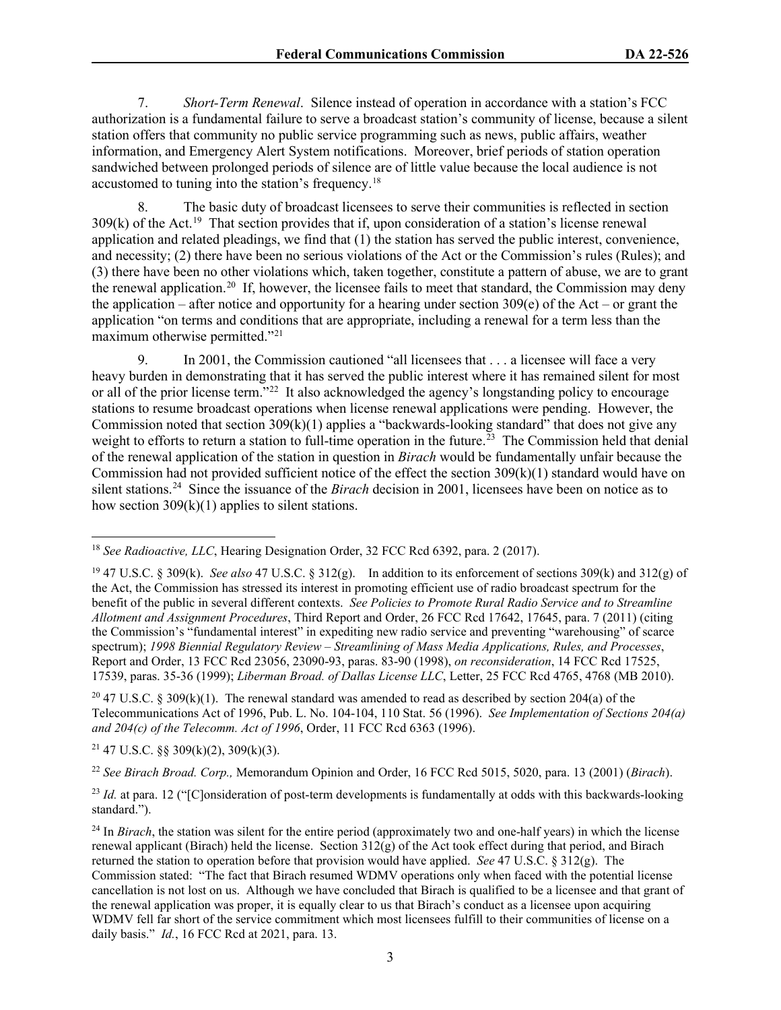7. *Short-Term Renewal*.Silence instead of operation in accordance with a station's FCC authorization is a fundamental failure to serve a broadcast station's community of license, because a silent station offers that community no public service programming such as news, public affairs, weather information, and Emergency Alert System notifications. Moreover, brief periods of station operation sandwiched between prolonged periods of silence are of little value because the local audience is not accustomed to tuning into the station's frequency.[18](#page-2-0)

8. The basic duty of broadcast licensees to serve their communities is reflected in section  $309(k)$  of the Act.<sup>[19](#page-2-1)</sup> That section provides that if, upon consideration of a station's license renewal application and related pleadings, we find that (1) the station has served the public interest, convenience, and necessity; (2) there have been no serious violations of the Act or the Commission's rules (Rules); and (3) there have been no other violations which, taken together, constitute a pattern of abuse, we are to grant the renewal application.<sup>[20](#page-2-2)</sup> If, however, the licensee fails to meet that standard, the Commission may deny the application – after notice and opportunity for a hearing under section  $309(e)$  of the Act – or grant the application "on terms and conditions that are appropriate, including a renewal for a term less than the maximum otherwise permitted."[21](#page-2-3)

9. In 2001, the Commission cautioned "all licensees that . . . a licensee will face a very heavy burden in demonstrating that it has served the public interest where it has remained silent for most or all of the prior license term."<sup>22</sup> It also acknowledged the agency's longstanding policy to encourage stations to resume broadcast operations when license renewal applications were pending. However, the Commission noted that section 309(k)(1) applies a "backwards-looking standard" that does not give any weight to efforts to return a station to full-time operation in the future.<sup>23</sup> The Commission held that denial of the renewal application of the station in question in *Birach* would be fundamentally unfair because the Commission had not provided sufficient notice of the effect the section 309(k)(1) standard would have on silent stations[.24](#page-2-6) Since the issuance of the *Birach* decision in 2001, licensees have been on notice as to how section  $309(k)(1)$  applies to silent stations.

<span id="page-2-2"></span><sup>20</sup> 47 U.S.C. § 309(k)(1). The renewal standard was amended to read as described by section 204(a) of the Telecommunications Act of 1996, Pub. L. No. 104-104, 110 Stat. 56 (1996). *See Implementation of Sections 204(a) and 204(c) of the Telecomm. Act of 1996*, Order, 11 FCC Rcd 6363 (1996).

<span id="page-2-3"></span> $21$  47 U.S.C. §§ 309(k)(2), 309(k)(3).

<span id="page-2-4"></span><sup>22</sup> *See Birach Broad. Corp.,* Memorandum Opinion and Order, 16 FCC Rcd 5015, 5020, para. 13 (2001) (*Birach*).

<span id="page-2-5"></span><sup>23</sup> *Id.* at para. 12 ("[C]onsideration of post-term developments is fundamentally at odds with this backwards-looking standard.").

<span id="page-2-0"></span><sup>18</sup> *See Radioactive, LLC*, Hearing Designation Order, 32 FCC Rcd 6392, para. 2 (2017).

<span id="page-2-1"></span><sup>19</sup> 47 U.S.C. § 309(k). *See also* 47 U.S.C. § 312(g). In addition to its enforcement of sections 309(k) and 312(g) of the Act, the Commission has stressed its interest in promoting efficient use of radio broadcast spectrum for the benefit of the public in several different contexts. *See Policies to Promote Rural Radio Service and to Streamline Allotment and Assignment Procedures*, Third Report and Order, 26 FCC Rcd 17642, 17645, para. 7 (2011) (citing the Commission's "fundamental interest" in expediting new radio service and preventing "warehousing" of scarce spectrum); *1998 Biennial Regulatory Review – Streamlining of Mass Media Applications, Rules, and Processes*, Report and Order, 13 FCC Rcd 23056, 23090-93, paras. 83-90 (1998), *on reconsideration*, 14 FCC Rcd 17525, 17539, paras. 35-36 (1999); *Liberman Broad. of Dallas License LLC*, Letter, 25 FCC Rcd 4765, 4768 (MB 2010).

<span id="page-2-6"></span><sup>&</sup>lt;sup>24</sup> In *Birach*, the station was silent for the entire period (approximately two and one-half years) in which the license renewal applicant (Birach) held the license. Section  $312(g)$  of the Act took effect during that period, and Birach returned the station to operation before that provision would have applied. *See* 47 U.S.C. § 312(g). The Commission stated: "The fact that Birach resumed WDMV operations only when faced with the potential license cancellation is not lost on us. Although we have concluded that Birach is qualified to be a licensee and that grant of the renewal application was proper, it is equally clear to us that Birach's conduct as a licensee upon acquiring WDMV fell far short of the service commitment which most licensees fulfill to their communities of license on a daily basis." *Id.*, 16 FCC Rcd at 2021, para. 13.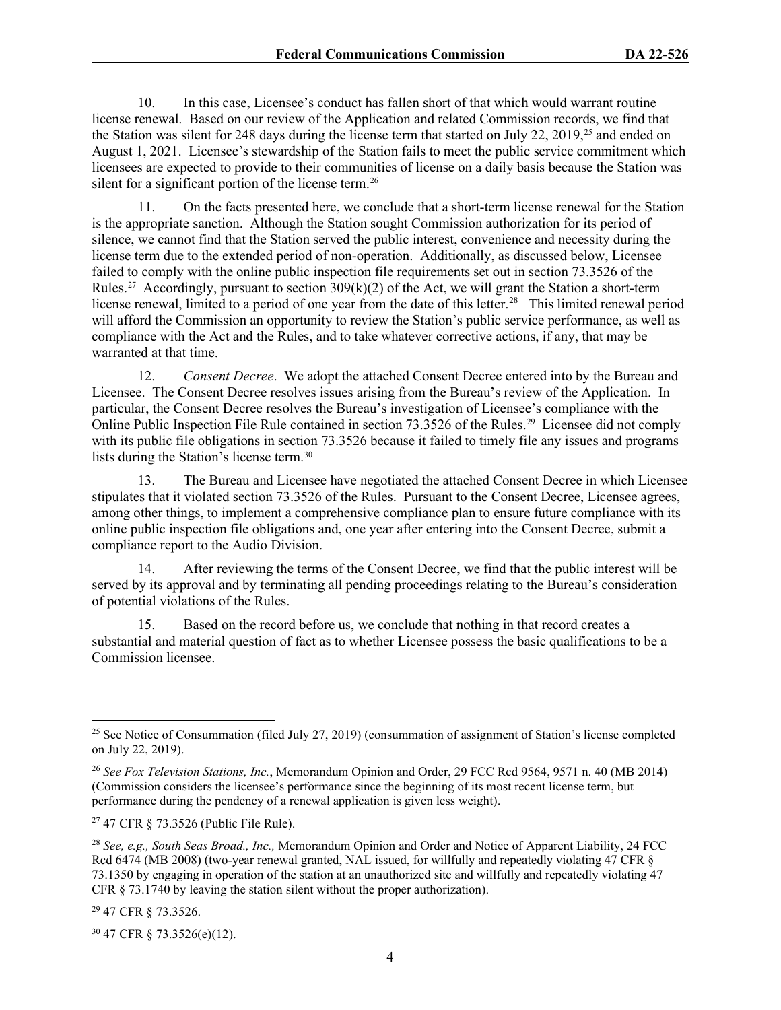10. In this case, Licensee's conduct has fallen short of that which would warrant routine license renewal. Based on our review of the Application and related Commission records, we find that the Station was silent for 248 days during the license term that started on July 22, 2019,<sup>[25](#page-3-0)</sup> and ended on August 1, 2021. Licensee's stewardship of the Station fails to meet the public service commitment which licensees are expected to provide to their communities of license on a daily basis because the Station was silent for a significant portion of the license term.<sup>26</sup>

11. On the facts presented here, we conclude that a short-term license renewal for the Station is the appropriate sanction. Although the Station sought Commission authorization for its period of silence, we cannot find that the Station served the public interest, convenience and necessity during the license term due to the extended period of non-operation. Additionally, as discussed below, Licensee failed to comply with the online public inspection file requirements set out in section 73.3526 of the Rules.<sup>27</sup> Accordingly, pursuant to section  $309(k)(2)$  of the Act, we will grant the Station a short-term license renewal, limited to a period of one year from the date of this letter.<sup>[28](#page-3-3)</sup> This limited renewal period will afford the Commission an opportunity to review the Station's public service performance, as well as compliance with the Act and the Rules, and to take whatever corrective actions, if any, that may be warranted at that time.

12. *Consent Decree*. We adopt the attached Consent Decree entered into by the Bureau and Licensee. The Consent Decree resolves issues arising from the Bureau's review of the Application. In particular, the Consent Decree resolves the Bureau's investigation of Licensee's compliance with the Online Public Inspection File Rule contained in section 73.3526 of the Rules.[29](#page-3-4) Licensee did not comply with its public file obligations in section 73.3526 because it failed to timely file any issues and programs lists during the Station's license term.[30](#page-3-5)

13. The Bureau and Licensee have negotiated the attached Consent Decree in which Licensee stipulates that it violated section 73.3526 of the Rules. Pursuant to the Consent Decree, Licensee agrees, among other things, to implement a comprehensive compliance plan to ensure future compliance with its online public inspection file obligations and, one year after entering into the Consent Decree, submit a compliance report to the Audio Division.

14. After reviewing the terms of the Consent Decree, we find that the public interest will be served by its approval and by terminating all pending proceedings relating to the Bureau's consideration of potential violations of the Rules.

15. Based on the record before us, we conclude that nothing in that record creates a substantial and material question of fact as to whether Licensee possess the basic qualifications to be a Commission licensee.

<span id="page-3-4"></span><sup>29</sup> 47 CFR § 73.3526.

<span id="page-3-5"></span><sup>30</sup> 47 CFR § 73.3526(e)(12).

<span id="page-3-0"></span><sup>&</sup>lt;sup>25</sup> See Notice of Consummation (filed July 27, 2019) (consummation of assignment of Station's license completed on July 22, 2019).

<span id="page-3-1"></span><sup>26</sup> *See Fox Television Stations, Inc.*, Memorandum Opinion and Order, 29 FCC Rcd 9564, 9571 n. 40 (MB 2014) (Commission considers the licensee's performance since the beginning of its most recent license term, but performance during the pendency of a renewal application is given less weight).

<span id="page-3-2"></span><sup>27</sup> 47 CFR § 73.3526 (Public File Rule).

<span id="page-3-3"></span><sup>28</sup> *See, e.g., South Seas Broad., Inc.,* Memorandum Opinion and Order and Notice of Apparent Liability, 24 FCC Rcd 6474 (MB 2008) (two-year renewal granted, NAL issued, for willfully and repeatedly violating 47 CFR § 73.1350 by engaging in operation of the station at an unauthorized site and willfully and repeatedly violating 47 CFR § 73.1740 by leaving the station silent without the proper authorization).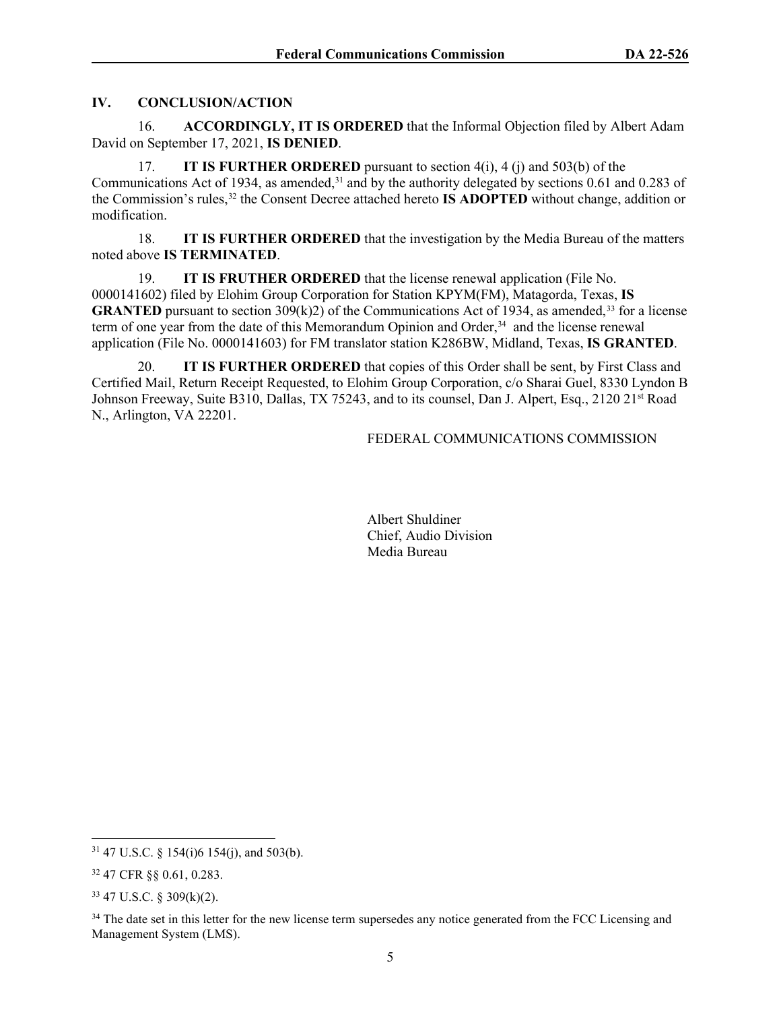# **IV. CONCLUSION/ACTION**

16. **ACCORDINGLY, IT IS ORDERED** that the Informal Objection filed by Albert Adam David on September 17, 2021, **IS DENIED**.

17. **IT IS FURTHER ORDERED** pursuant to section 4(i), 4 (j) and 503(b) of the Communications Act of 1934, as amended,<sup>[31](#page-4-0)</sup> and by the authority delegated by sections 0.61 and 0.283 of the Commission's rules,[32](#page-4-1) the Consent Decree attached hereto **IS ADOPTED** without change, addition or modification.

18. **IT IS FURTHER ORDERED** that the investigation by the Media Bureau of the matters noted above **IS TERMINATED**.

19. **IT IS FRUTHER ORDERED** that the license renewal application (File No. 0000141602) filed by Elohim Group Corporation for Station KPYM(FM), Matagorda, Texas, **IS GRANTED** pursuant to section  $309(k)2$  of the Communications Act of 1934, as amended,<sup>[33](#page-4-2)</sup> for a license term of one year from the date of this Memorandum Opinion and Order, [34](#page-4-3) and the license renewal application (File No. 0000141603) for FM translator station K286BW, Midland, Texas, **IS GRANTED**.

20. **IT IS FURTHER ORDERED** that copies of this Order shall be sent, by First Class and Certified Mail, Return Receipt Requested, to Elohim Group Corporation, c/o Sharai Guel, 8330 Lyndon B Johnson Freeway, Suite B310, Dallas, TX 75243, and to its counsel, Dan J. Alpert, Esq., 2120 21<sup>st</sup> Road N., Arlington, VA 22201.

# FEDERAL COMMUNICATIONS COMMISSION

Albert Shuldiner Chief, Audio Division Media Bureau

<span id="page-4-0"></span> $31$  47 U.S.C. § 154(i)6 154(j), and 503(b).

<span id="page-4-1"></span><sup>32</sup> 47 CFR §§ 0.61, 0.283.

<span id="page-4-2"></span><sup>33</sup> 47 U.S.C. § 309(k)(2).

<span id="page-4-3"></span><sup>&</sup>lt;sup>34</sup> The date set in this letter for the new license term supersedes any notice generated from the FCC Licensing and Management System (LMS).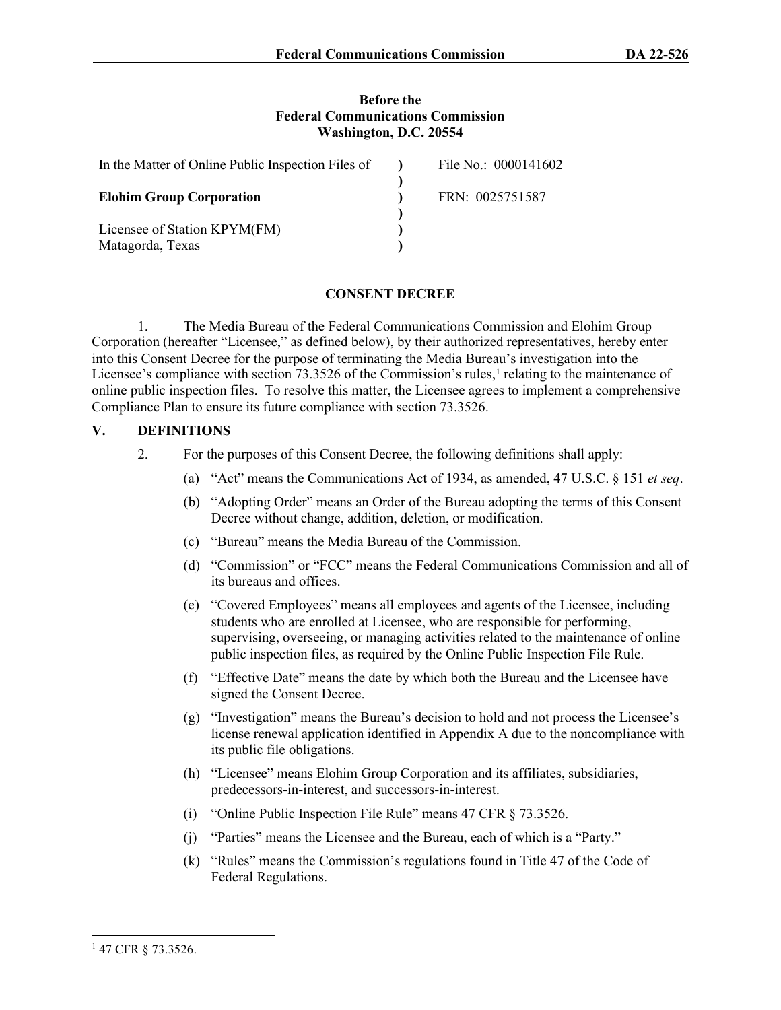#### **Before the Federal Communications Commission Washington, D.C. 20554**

| In the Matter of Online Public Inspection Files of | File No.: 0000141602 |
|----------------------------------------------------|----------------------|
| <b>Elohim Group Corporation</b>                    | FRN: 0025751587      |
| Licensee of Station KPYM(FM)                       |                      |
| Matagorda, Texas                                   |                      |

#### **CONSENT DECREE**

1. The Media Bureau of the Federal Communications Commission and Elohim Group Corporation (hereafter "Licensee," as defined below), by their authorized representatives, hereby enter into this Consent Decree for the purpose of terminating the Media Bureau's investigation into the Licensee's compliance with section 73.3526 of the Commission's rules, $\frac{1}{1}$  $\frac{1}{1}$  $\frac{1}{1}$  relating to the maintenance of online public inspection files. To resolve this matter, the Licensee agrees to implement a comprehensive Compliance Plan to ensure its future compliance with section 73.3526.

#### **V. DEFINITIONS**

- 2. For the purposes of this Consent Decree, the following definitions shall apply:
	- (a) "Act" means the Communications Act of 1934, as amended, 47 U.S.C. § 151 *et seq*.
	- (b) "Adopting Order" means an Order of the Bureau adopting the terms of this Consent Decree without change, addition, deletion, or modification.
	- (c) "Bureau" means the Media Bureau of the Commission.
	- (d) "Commission" or "FCC" means the Federal Communications Commission and all of its bureaus and offices.
	- (e) "Covered Employees" means all employees and agents of the Licensee, including students who are enrolled at Licensee, who are responsible for performing, supervising, overseeing, or managing activities related to the maintenance of online public inspection files, as required by the Online Public Inspection File Rule.
	- (f) "Effective Date" means the date by which both the Bureau and the Licensee have signed the Consent Decree.
	- (g) "Investigation" means the Bureau's decision to hold and not process the Licensee's license renewal application identified in Appendix A due to the noncompliance with its public file obligations.
	- (h) "Licensee" means Elohim Group Corporation and its affiliates, subsidiaries, predecessors-in-interest, and successors-in-interest.
	- (i) "Online Public Inspection File Rule" means 47 CFR § 73.3526.
	- (j) "Parties" means the Licensee and the Bureau, each of which is a "Party."
	- (k) "Rules" means the Commission's regulations found in Title 47 of the Code of Federal Regulations.

<span id="page-5-0"></span><sup>1</sup> 47 CFR § 73.3526.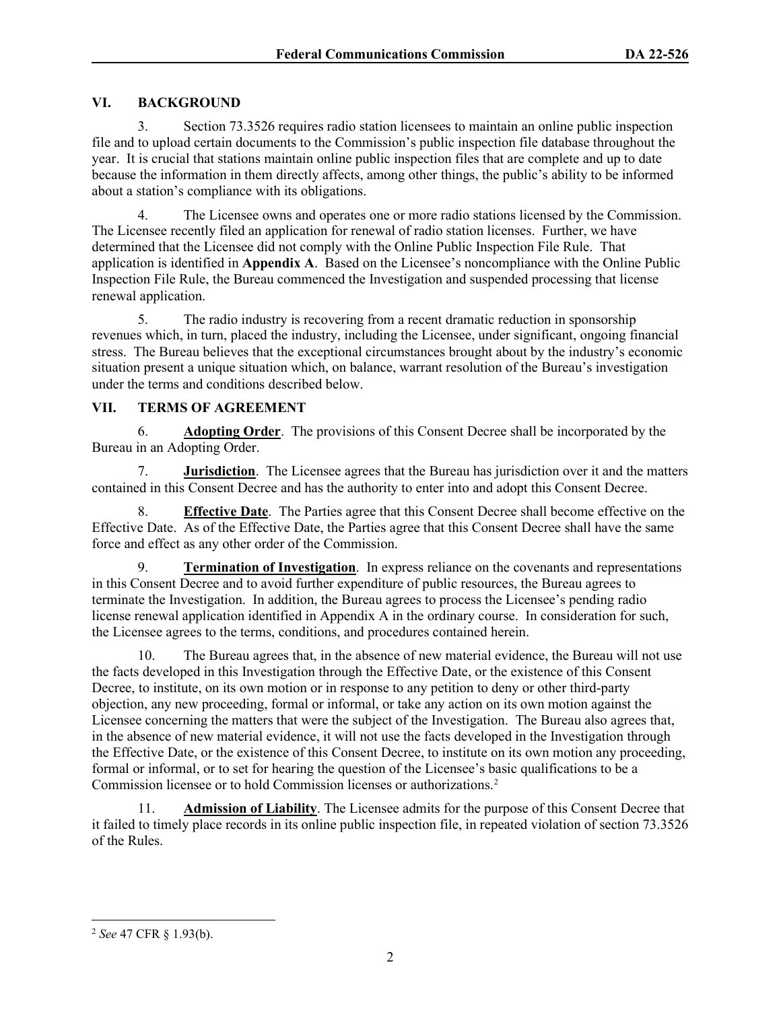# **VI. BACKGROUND**

3. Section 73.3526 requires radio station licensees to maintain an online public inspection file and to upload certain documents to the Commission's public inspection file database throughout the year. It is crucial that stations maintain online public inspection files that are complete and up to date because the information in them directly affects, among other things, the public's ability to be informed about a station's compliance with its obligations.

4. The Licensee owns and operates one or more radio stations licensed by the Commission. The Licensee recently filed an application for renewal of radio station licenses. Further, we have determined that the Licensee did not comply with the Online Public Inspection File Rule. That application is identified in **Appendix A**. Based on the Licensee's noncompliance with the Online Public Inspection File Rule, the Bureau commenced the Investigation and suspended processing that license renewal application.

5. The radio industry is recovering from a recent dramatic reduction in sponsorship revenues which, in turn, placed the industry, including the Licensee, under significant, ongoing financial stress. The Bureau believes that the exceptional circumstances brought about by the industry's economic situation present a unique situation which, on balance, warrant resolution of the Bureau's investigation under the terms and conditions described below.

#### **VII. TERMS OF AGREEMENT**

6. **Adopting Order**.The provisions of this Consent Decree shall be incorporated by the Bureau in an Adopting Order.

7. **Jurisdiction**. The Licensee agrees that the Bureau has jurisdiction over it and the matters contained in this Consent Decree and has the authority to enter into and adopt this Consent Decree.

8. **Effective Date**. The Parties agree that this Consent Decree shall become effective on the Effective Date. As of the Effective Date, the Parties agree that this Consent Decree shall have the same force and effect as any other order of the Commission.

9. **Termination of Investigation**.In express reliance on the covenants and representations in this Consent Decree and to avoid further expenditure of public resources, the Bureau agrees to terminate the Investigation. In addition, the Bureau agrees to process the Licensee's pending radio license renewal application identified in Appendix A in the ordinary course. In consideration for such, the Licensee agrees to the terms, conditions, and procedures contained herein.

10. The Bureau agrees that, in the absence of new material evidence, the Bureau will not use the facts developed in this Investigation through the Effective Date, or the existence of this Consent Decree, to institute, on its own motion or in response to any petition to deny or other third-party objection, any new proceeding, formal or informal, or take any action on its own motion against the Licensee concerning the matters that were the subject of the Investigation. The Bureau also agrees that, in the absence of new material evidence, it will not use the facts developed in the Investigation through the Effective Date, or the existence of this Consent Decree, to institute on its own motion any proceeding, formal or informal, or to set for hearing the question of the Licensee's basic qualifications to be a Commission licensee or to hold Commission licenses or authorizations[.2](#page-6-0)

11. **Admission of Liability**. The Licensee admits for the purpose of this Consent Decree that it failed to timely place records in its online public inspection file, in repeated violation of section 73.3526 of the Rules.

<span id="page-6-0"></span><sup>2</sup> *See* 47 CFR § 1.93(b).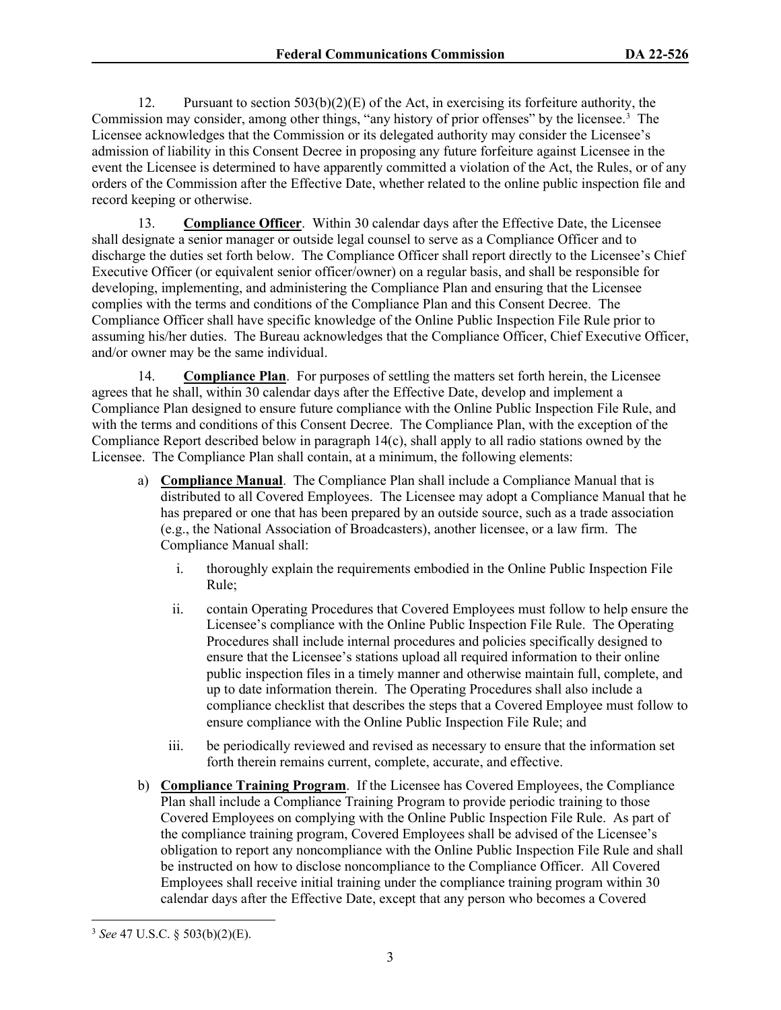12. Pursuant to section  $503(b)(2)(E)$  of the Act, in exercising its forfeiture authority, the Commission may consider, among other things, "any history of prior offenses" by the licensee.<sup>[3](#page-7-0)</sup> The Licensee acknowledges that the Commission or its delegated authority may consider the Licensee's admission of liability in this Consent Decree in proposing any future forfeiture against Licensee in the event the Licensee is determined to have apparently committed a violation of the Act, the Rules, or of any orders of the Commission after the Effective Date, whether related to the online public inspection file and record keeping or otherwise.

13. **Compliance Officer**. Within 30 calendar days after the Effective Date, the Licensee shall designate a senior manager or outside legal counsel to serve as a Compliance Officer and to discharge the duties set forth below. The Compliance Officer shall report directly to the Licensee's Chief Executive Officer (or equivalent senior officer/owner) on a regular basis, and shall be responsible for developing, implementing, and administering the Compliance Plan and ensuring that the Licensee complies with the terms and conditions of the Compliance Plan and this Consent Decree. The Compliance Officer shall have specific knowledge of the Online Public Inspection File Rule prior to assuming his/her duties. The Bureau acknowledges that the Compliance Officer, Chief Executive Officer, and/or owner may be the same individual.

14. **Compliance Plan**. For purposes of settling the matters set forth herein, the Licensee agrees that he shall, within 30 calendar days after the Effective Date, develop and implement a Compliance Plan designed to ensure future compliance with the Online Public Inspection File Rule, and with the terms and conditions of this Consent Decree. The Compliance Plan, with the exception of the Compliance Report described below in paragraph 14(c), shall apply to all radio stations owned by the Licensee. The Compliance Plan shall contain, at a minimum, the following elements:

- a) **Compliance Manual**. The Compliance Plan shall include a Compliance Manual that is distributed to all Covered Employees. The Licensee may adopt a Compliance Manual that he has prepared or one that has been prepared by an outside source, such as a trade association (e.g., the National Association of Broadcasters), another licensee, or a law firm. The Compliance Manual shall:
	- i. thoroughly explain the requirements embodied in the Online Public Inspection File Rule;
	- ii. contain Operating Procedures that Covered Employees must follow to help ensure the Licensee's compliance with the Online Public Inspection File Rule. The Operating Procedures shall include internal procedures and policies specifically designed to ensure that the Licensee's stations upload all required information to their online public inspection files in a timely manner and otherwise maintain full, complete, and up to date information therein. The Operating Procedures shall also include a compliance checklist that describes the steps that a Covered Employee must follow to ensure compliance with the Online Public Inspection File Rule; and
	- iii. be periodically reviewed and revised as necessary to ensure that the information set forth therein remains current, complete, accurate, and effective.
- b) **Compliance Training Program**. If the Licensee has Covered Employees, the Compliance Plan shall include a Compliance Training Program to provide periodic training to those Covered Employees on complying with the Online Public Inspection File Rule. As part of the compliance training program, Covered Employees shall be advised of the Licensee's obligation to report any noncompliance with the Online Public Inspection File Rule and shall be instructed on how to disclose noncompliance to the Compliance Officer. All Covered Employees shall receive initial training under the compliance training program within 30 calendar days after the Effective Date, except that any person who becomes a Covered

<span id="page-7-0"></span><sup>3</sup> *See* 47 U.S.C. § 503(b)(2)(E).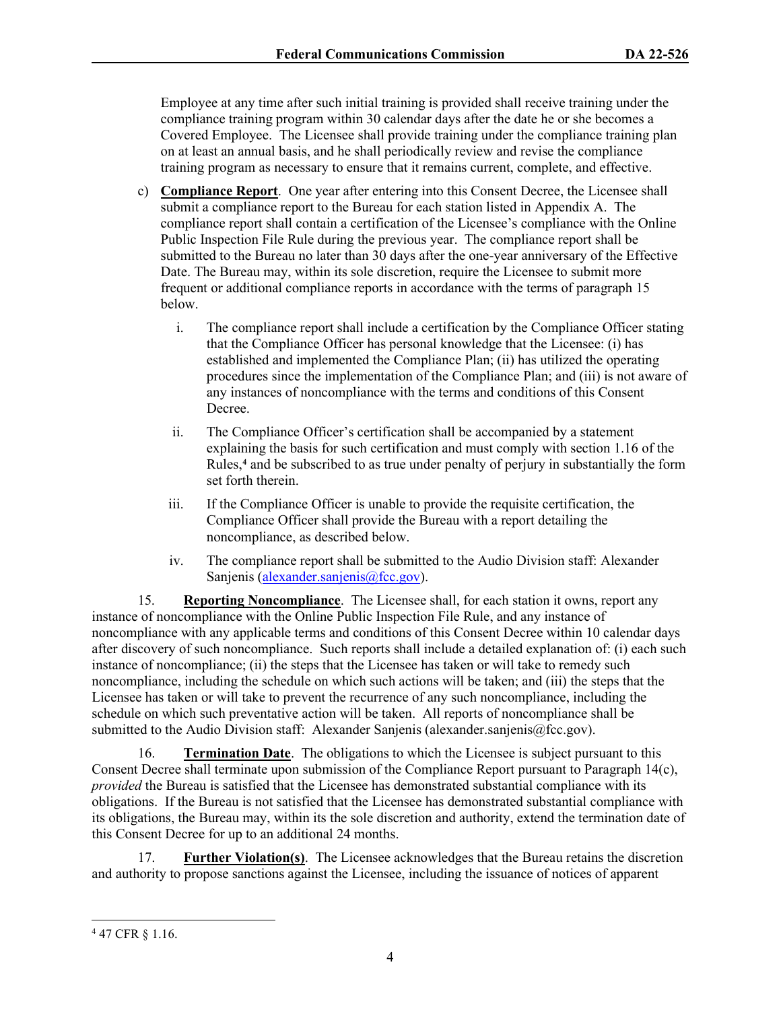Employee at any time after such initial training is provided shall receive training under the compliance training program within 30 calendar days after the date he or she becomes a Covered Employee. The Licensee shall provide training under the compliance training plan on at least an annual basis, and he shall periodically review and revise the compliance training program as necessary to ensure that it remains current, complete, and effective.

- c) **Compliance Report**. One year after entering into this Consent Decree, the Licensee shall submit a compliance report to the Bureau for each station listed in Appendix A. The compliance report shall contain a certification of the Licensee's compliance with the Online Public Inspection File Rule during the previous year. The compliance report shall be submitted to the Bureau no later than 30 days after the one-year anniversary of the Effective Date. The Bureau may, within its sole discretion, require the Licensee to submit more frequent or additional compliance reports in accordance with the terms of paragraph 15 below.
	- i. The compliance report shall include a certification by the Compliance Officer stating that the Compliance Officer has personal knowledge that the Licensee: (i) has established and implemented the Compliance Plan; (ii) has utilized the operating procedures since the implementation of the Compliance Plan; and (iii) is not aware of any instances of noncompliance with the terms and conditions of this Consent Decree.
	- ii. The Compliance Officer's certification shall be accompanied by a statement explaining the basis for such certification and must comply with section 1.16 of the Rules,**[4](#page-8-0)** and be subscribed to as true under penalty of perjury in substantially the form set forth therein.
	- iii. If the Compliance Officer is unable to provide the requisite certification, the Compliance Officer shall provide the Bureau with a report detailing the noncompliance, as described below.
	- iv. The compliance report shall be submitted to the Audio Division staff: Alexander Sanjenis [\(alexander.sanjenis@fcc.gov\)](mailto:alexander.sanjenis@fcc.gov).

15. **Reporting Noncompliance**. The Licensee shall, for each station it owns, report any instance of noncompliance with the Online Public Inspection File Rule, and any instance of noncompliance with any applicable terms and conditions of this Consent Decree within 10 calendar days after discovery of such noncompliance. Such reports shall include a detailed explanation of: (i) each such instance of noncompliance; (ii) the steps that the Licensee has taken or will take to remedy such noncompliance, including the schedule on which such actions will be taken; and (iii) the steps that the Licensee has taken or will take to prevent the recurrence of any such noncompliance, including the schedule on which such preventative action will be taken. All reports of noncompliance shall be submitted to the Audio Division staff: Alexander Sanjenis (alexander.sanjenis@fcc.gov).

16. **Termination Date**. The obligations to which the Licensee is subject pursuant to this Consent Decree shall terminate upon submission of the Compliance Report pursuant to Paragraph 14(c), *provided* the Bureau is satisfied that the Licensee has demonstrated substantial compliance with its obligations. If the Bureau is not satisfied that the Licensee has demonstrated substantial compliance with its obligations, the Bureau may, within its the sole discretion and authority, extend the termination date of this Consent Decree for up to an additional 24 months.

17. **Further Violation(s)**. The Licensee acknowledges that the Bureau retains the discretion and authority to propose sanctions against the Licensee, including the issuance of notices of apparent

<span id="page-8-0"></span><sup>4</sup> 47 CFR § 1.16.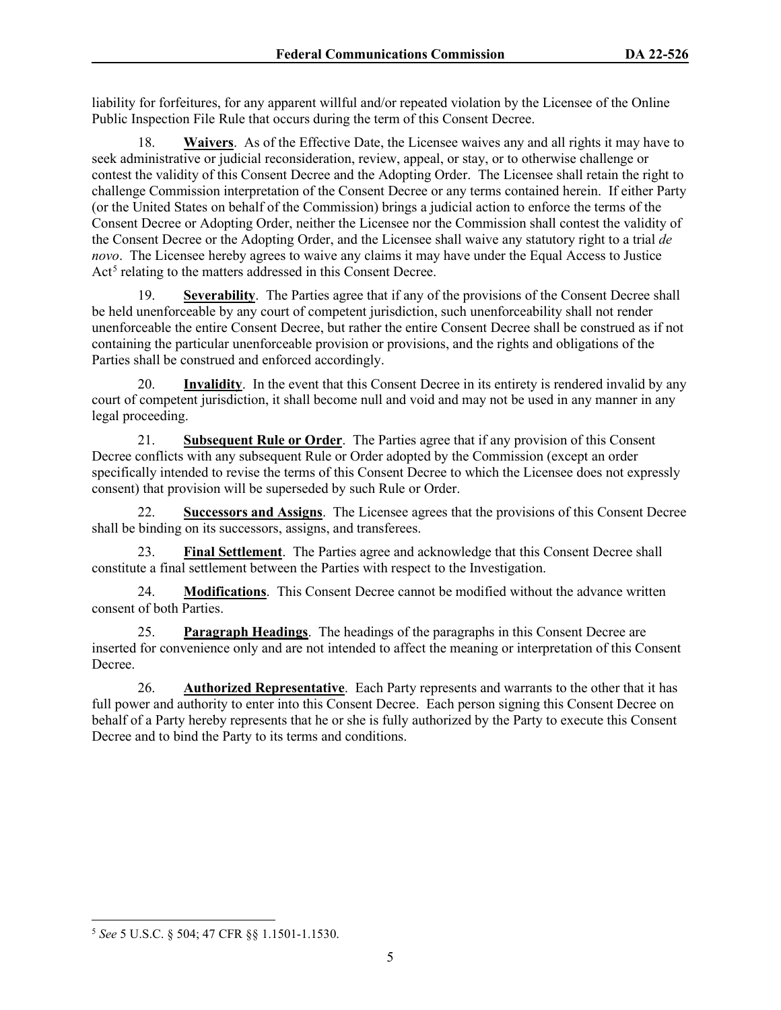liability for forfeitures, for any apparent willful and/or repeated violation by the Licensee of the Online Public Inspection File Rule that occurs during the term of this Consent Decree.

18. **Waivers**. As of the Effective Date, the Licensee waives any and all rights it may have to seek administrative or judicial reconsideration, review, appeal, or stay, or to otherwise challenge or contest the validity of this Consent Decree and the Adopting Order. The Licensee shall retain the right to challenge Commission interpretation of the Consent Decree or any terms contained herein. If either Party (or the United States on behalf of the Commission) brings a judicial action to enforce the terms of the Consent Decree or Adopting Order, neither the Licensee nor the Commission shall contest the validity of the Consent Decree or the Adopting Order, and the Licensee shall waive any statutory right to a trial *de novo*. The Licensee hereby agrees to waive any claims it may have under the Equal Access to Justice Act<sup>[5](#page-9-0)</sup> relating to the matters addressed in this Consent Decree.

19. **Severability**. The Parties agree that if any of the provisions of the Consent Decree shall be held unenforceable by any court of competent jurisdiction, such unenforceability shall not render unenforceable the entire Consent Decree, but rather the entire Consent Decree shall be construed as if not containing the particular unenforceable provision or provisions, and the rights and obligations of the Parties shall be construed and enforced accordingly.

20. **Invalidity**. In the event that this Consent Decree in its entirety is rendered invalid by any court of competent jurisdiction, it shall become null and void and may not be used in any manner in any legal proceeding.

21. **Subsequent Rule or Order**. The Parties agree that if any provision of this Consent Decree conflicts with any subsequent Rule or Order adopted by the Commission (except an order specifically intended to revise the terms of this Consent Decree to which the Licensee does not expressly consent) that provision will be superseded by such Rule or Order.

22. **Successors and Assigns**.The Licensee agrees that the provisions of this Consent Decree shall be binding on its successors, assigns, and transferees.

23. **Final Settlement**. The Parties agree and acknowledge that this Consent Decree shall constitute a final settlement between the Parties with respect to the Investigation.

24. **Modifications**. This Consent Decree cannot be modified without the advance written consent of both Parties.

25. **Paragraph Headings**. The headings of the paragraphs in this Consent Decree are inserted for convenience only and are not intended to affect the meaning or interpretation of this Consent Decree.

26. **Authorized Representative**. Each Party represents and warrants to the other that it has full power and authority to enter into this Consent Decree. Each person signing this Consent Decree on behalf of a Party hereby represents that he or she is fully authorized by the Party to execute this Consent Decree and to bind the Party to its terms and conditions.

<span id="page-9-0"></span><sup>5</sup> *See* 5 U.S.C. § 504; 47 CFR §§ 1.1501-1.1530.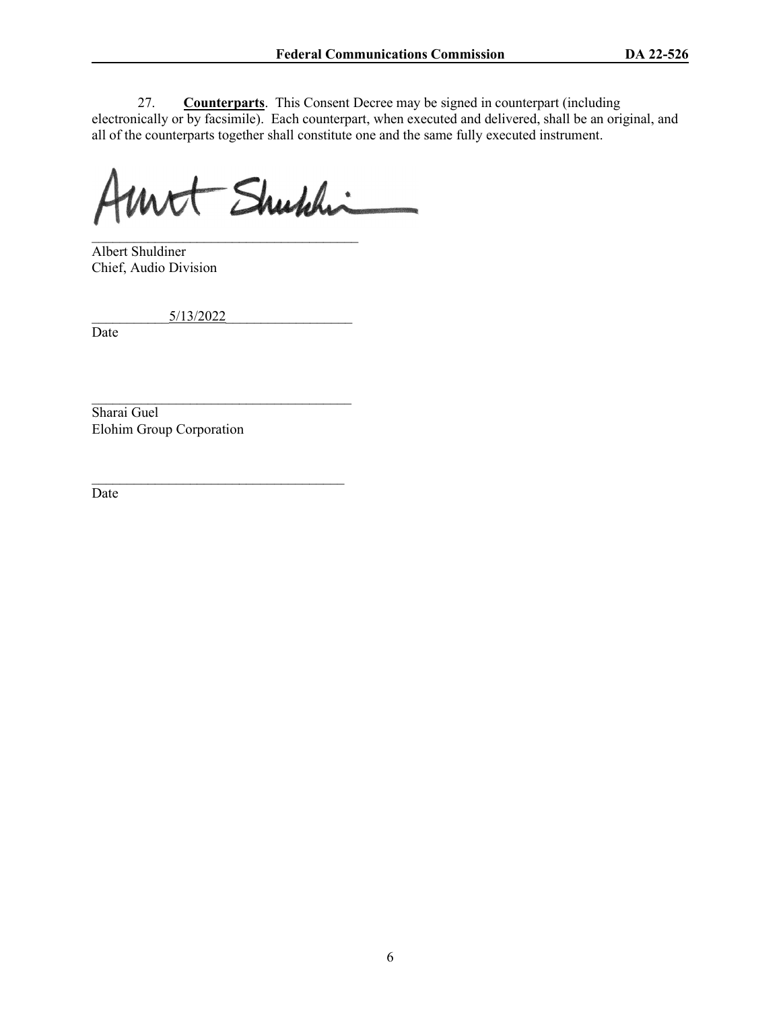27. **Counterparts**. This Consent Decree may be signed in counterpart (including electronically or by facsimile). Each counterpart, when executed and delivered, shall be an original, and all of the counterparts together shall constitute one and the same fully executed instrument.

Mit Shuhhi

\_\_\_\_\_\_\_\_\_\_\_\_\_\_\_\_\_\_\_\_\_\_\_\_\_\_\_\_\_\_\_\_\_\_\_\_\_\_ Albert Shuldiner Chief, Audio Division

\_\_\_\_\_\_\_\_\_\_\_5/13/2022\_\_\_\_\_\_\_\_\_\_\_\_\_\_\_\_\_\_

\_\_\_\_\_\_\_\_\_\_\_\_\_\_\_\_\_\_\_\_\_\_\_\_\_\_\_\_\_\_\_\_\_\_\_\_\_

 $\mathcal{L}_\text{max}$  , and the set of the set of the set of the set of the set of the set of the set of the set of the set of the set of the set of the set of the set of the set of the set of the set of the set of the set of the

Date

Sharai Guel Elohim Group Corporation

Date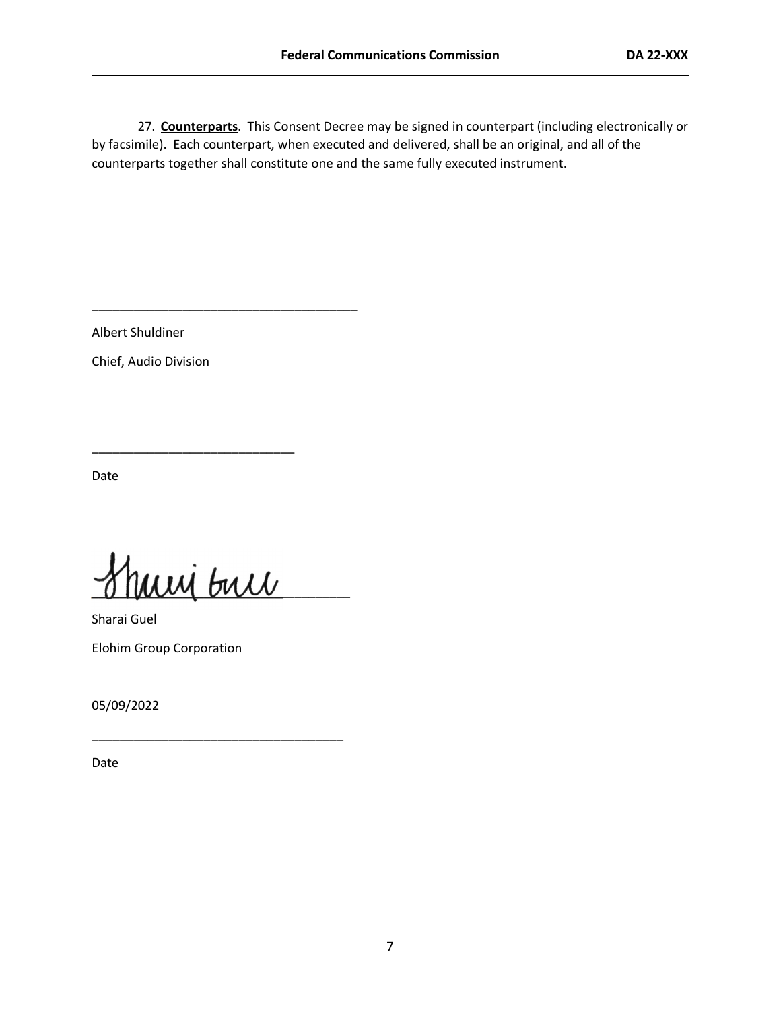27. **Counterparts**. This Consent Decree may be signed in counterpart (including electronically or by facsimile). Each counterpart, when executed and delivered, shall be an original, and all of the counterparts together shall constitute one and the same fully executed instrument.

Albert Shuldiner

Chief, Audio Division

Date

 $\overline{u}\overline{u}\overline{u}$  but

\_\_\_\_\_\_\_\_\_\_\_\_\_\_\_\_\_\_\_\_\_\_\_\_\_\_\_\_\_\_\_\_\_\_\_\_

\_\_\_\_\_\_\_\_\_\_\_\_\_\_\_\_\_\_\_\_\_\_\_\_\_\_\_\_\_

\_\_\_\_\_\_\_\_\_\_\_\_\_\_\_\_\_\_\_\_\_\_\_\_\_\_\_\_\_\_\_\_\_\_\_\_\_\_

Sharai Guel Elohim Group Corporation

05/09/2022

Date